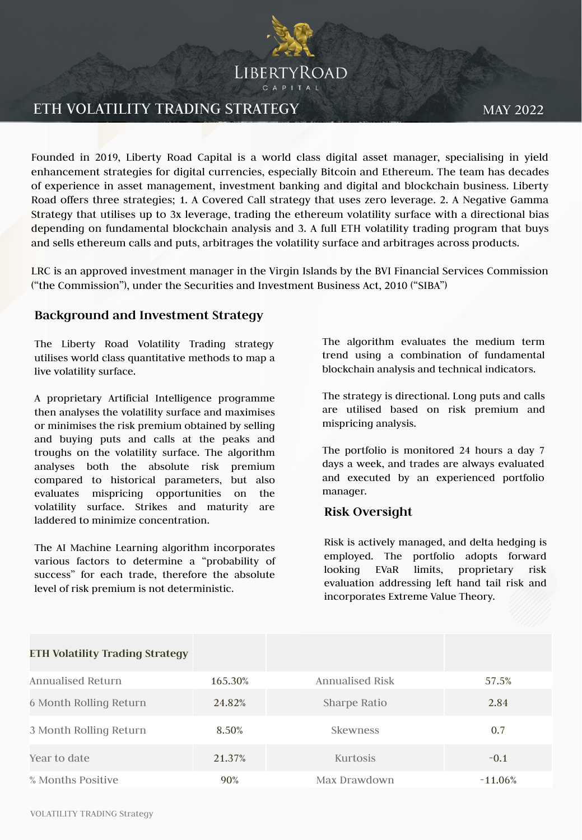

## ETH VOLATILITY TRADING STRATEGY

MAY 2022

Founded in 2019, Liberty Road Capital is a world class digital asset manager, specialising in yield enhancement strategies for digital currencies, especially Bitcoin and Ethereum. The team has decades of experience in asset management, investment banking and digital and blockchain business. Liberty Road offers three strategies; 1. A Covered Call strategy that uses zero leverage. 2. A Negative Gamma Strategy that utilises up to 3x leverage, trading the ethereum volatility surface with a directional bias depending on fundamental blockchain analysis and 3. A full ETH volatility trading program that buys and sells ethereum calls and puts, arbitrages the volatility surface and arbitrages across products.

LRC is an approved investment manager in the Virgin Islands by the BVI Financial Services Commission ("the Commission"), under the Securities and Investment Business Act, 2010 ("SIBA")

### **Background and Investment Strategy**

The Liberty Road Volatility Trading strategy utilises world class quantitative methods to map a live volatility surface.

A proprietary Artificial Intelligence programme then analyses the volatility surface and maximises or minimises the risk premium obtained by selling and buying puts and calls at the peaks and troughs on the volatility surface. The algorithm analyses both the absolute risk premium compared to historical parameters, but also evaluates mispricing opportunities on the volatility surface. Strikes and maturity are laddered to minimize concentration.

The AI Machine Learning algorithm incorporates various factors to determine a "probability of success" for each trade, therefore the absolute level of risk premium is not deterministic.

The algorithm evaluates the medium term trend using a combination of fundamental blockchain analysis and technical indicators.

The strategy is directional. Long puts and calls are utilised based on risk premium and mispricing analysis.

The portfolio is monitored 24 hours a day 7 days a week, and trades are always evaluated and executed by an experienced portfolio manager.

#### **Risk Oversight**

Risk is actively managed, and delta hedging is employed. The portfolio adopts forward looking EVaR limits, proprietary risk evaluation addressing left hand tail risk and incorporates Extreme Value Theory.

| <b>ETH Volatility Trading Strategy</b> |         |                 |            |
|----------------------------------------|---------|-----------------|------------|
| Annualised Return                      | 165.30% | Annualised Risk | 57.5%      |
| 6 Month Rolling Return                 | 24.82%  | Sharpe Ratio    | 2.84       |
| 3 Month Rolling Return                 | 8.50%   | <b>Skewness</b> | 0.7        |
| Year to date                           | 21.37%  | Kurtosis        | $-0.1$     |
| % Months Positive                      | 90%     | Max Drawdown    | $-11.06\%$ |